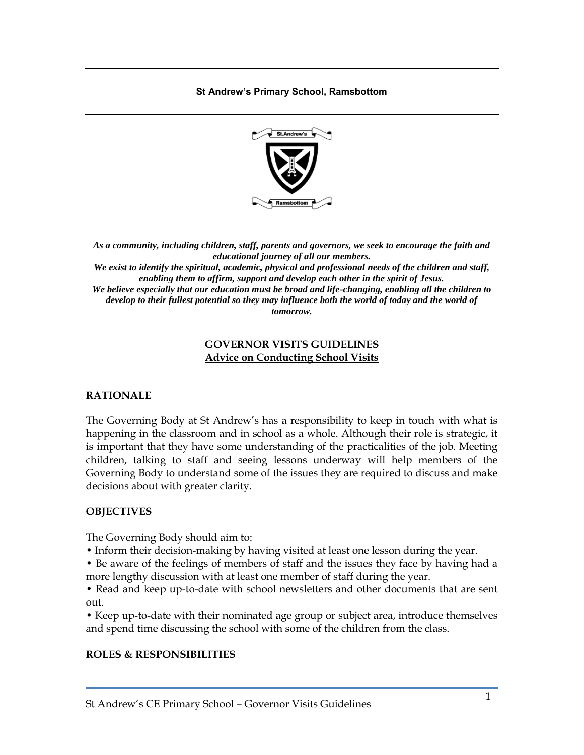**St Andrew's Primary School, Ramsbottom**



*As a community, including children, staff, parents and governors, we seek to encourage the faith and educational journey of all our members.*

*We exist to identify the spiritual, academic, physical and professional needs of the children and staff, enabling them to affirm, support and develop each other in the spirit of Jesus. We believe especially that our education must be broad and life-changing, enabling all the children to*  develop to their fullest potential so they may influence both the world of today and the world of

*tomorrow.*

#### **GOVERNOR VISITS GUIDELINES Advice on Conducting School Visits**

### **RATIONALE**

The Governing Body at St Andrew's has a responsibility to keep in touch with what is happening in the classroom and in school as a whole. Although their role is strategic, it is important that they have some understanding of the practicalities of the job. Meeting children, talking to staff and seeing lessons underway will help members of the Governing Body to understand some of the issues they are required to discuss and make decisions about with greater clarity.

### **OBJECTIVES**

The Governing Body should aim to:

- Inform their decision-making by having visited at least one lesson during the year.
- Be aware of the feelings of members of staff and the issues they face by having had a more lengthy discussion with at least one member of staff during the year.

• Read and keep up-to-date with school newsletters and other documents that are sent out.

• Keep up-to-date with their nominated age group or subject area, introduce themselves and spend time discussing the school with some of the children from the class.

### **ROLES & RESPONSIBILITIES**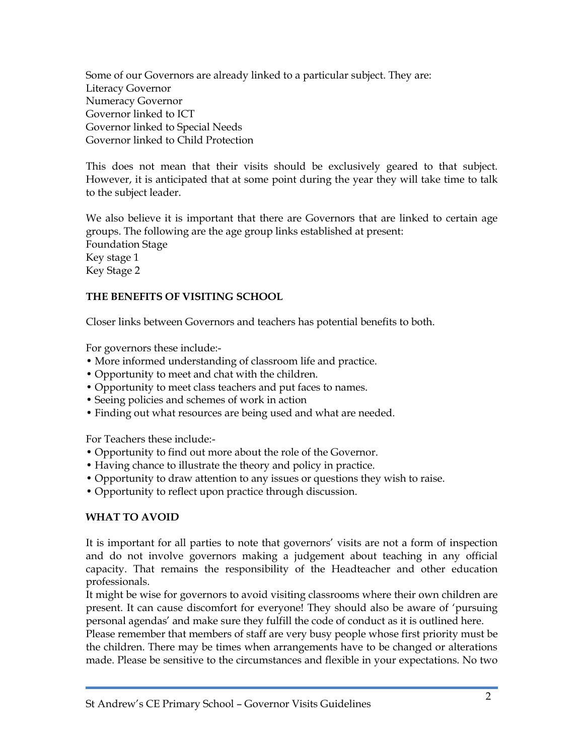Some of our Governors are already linked to a particular subject. They are: Literacy Governor Numeracy Governor Governor linked to ICT Governor linked to Special Needs Governor linked to Child Protection

This does not mean that their visits should be exclusively geared to that subject. However, it is anticipated that at some point during the year they will take time to talk to the subject leader.

We also believe it is important that there are Governors that are linked to certain age groups. The following are the age group links established at present: Foundation Stage Key stage 1 Key Stage 2

# **THE BENEFITS OF VISITING SCHOOL**

Closer links between Governors and teachers has potential benefits to both.

For governors these include:-

- More informed understanding of classroom life and practice.
- Opportunity to meet and chat with the children.
- Opportunity to meet class teachers and put faces to names.
- Seeing policies and schemes of work in action
- Finding out what resources are being used and what are needed.

For Teachers these include:-

- Opportunity to find out more about the role of the Governor.
- Having chance to illustrate the theory and policy in practice.
- Opportunity to draw attention to any issues or questions they wish to raise.
- Opportunity to reflect upon practice through discussion.

# **WHAT TO AVOID**

It is important for all parties to note that governors' visits are not a form of inspection and do not involve governors making a judgement about teaching in any official capacity. That remains the responsibility of the Headteacher and other education professionals.

It might be wise for governors to avoid visiting classrooms where their own children are present. It can cause discomfort for everyone! They should also be aware of 'pursuing personal agendas' and make sure they fulfill the code of conduct as it is outlined here.

Please remember that members of staff are very busy people whose first priority must be the children. There may be times when arrangements have to be changed or alterations made. Please be sensitive to the circumstances and flexible in your expectations. No two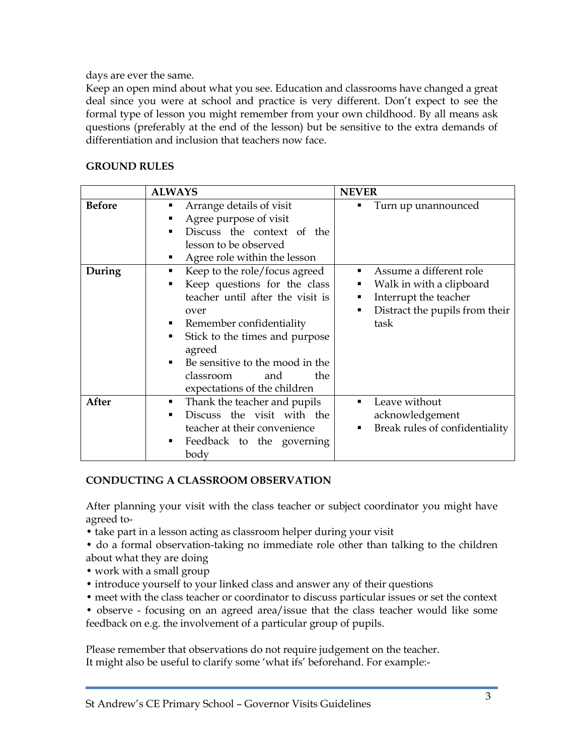days are ever the same.

Keep an open mind about what you see. Education and classrooms have changed a great deal since you were at school and practice is very different. Don't expect to see the formal type of lesson you might remember from your own childhood. By all means ask questions (preferably at the end of the lesson) but be sensitive to the extra demands of differentiation and inclusion that teachers now face.

### **GROUND RULES**

|               | <b>ALWAYS</b>                                                                                                                                                                                                                                                                                                         | <b>NEVER</b>                                                                                                                                                         |
|---------------|-----------------------------------------------------------------------------------------------------------------------------------------------------------------------------------------------------------------------------------------------------------------------------------------------------------------------|----------------------------------------------------------------------------------------------------------------------------------------------------------------------|
| <b>Before</b> | Arrange details of visit<br>Agree purpose of visit<br>Discuss the context of the<br>lesson to be observed<br>Agree role within the lesson                                                                                                                                                                             | Turn up unannounced                                                                                                                                                  |
| During        | Keep to the role/focus agreed<br>Ξ<br>Keep questions for the class<br>٠<br>teacher until after the visit is<br>over<br>Remember confidentiality<br>Ξ<br>Stick to the times and purpose<br>٠<br>agreed<br>Be sensitive to the mood in the<br>$\blacksquare$<br>the<br>classroom<br>and<br>expectations of the children | Assume a different role<br>$\blacksquare$<br>Walk in with a clipboard<br>■<br>Interrupt the teacher<br>٠<br>Distract the pupils from their<br>$\blacksquare$<br>task |
| After         | Thank the teacher and pupils<br>٠<br>Discuss the visit with the<br>$\blacksquare$<br>teacher at their convenience<br>Feedback to the governing<br>٠<br>body                                                                                                                                                           | Leave without<br>$\blacksquare$<br>acknowledgement<br>Break rules of confidentiality<br>٠                                                                            |

### **CONDUCTING A CLASSROOM OBSERVATION**

After planning your visit with the class teacher or subject coordinator you might have agreed to-

- take part in a lesson acting as classroom helper during your visit
- do a formal observation-taking no immediate role other than talking to the children about what they are doing
- work with a small group
- introduce yourself to your linked class and answer any of their questions
- meet with the class teacher or coordinator to discuss particular issues or set the context
- observe focusing on an agreed area/issue that the class teacher would like some feedback on e.g. the involvement of a particular group of pupils.

Please remember that observations do not require judgement on the teacher. It might also be useful to clarify some 'what ifs' beforehand. For example:-